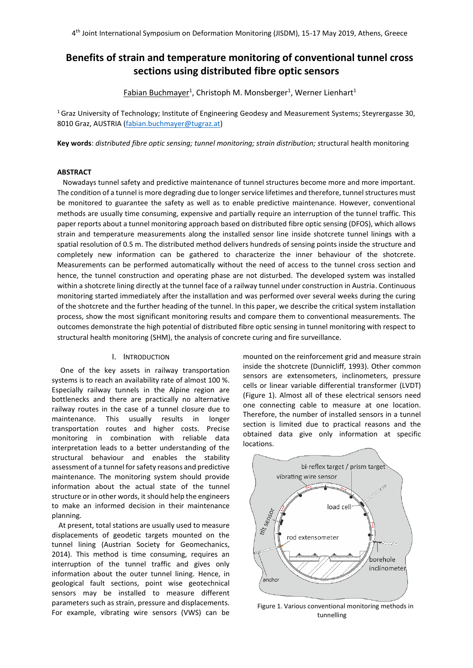# **Benefits of strain and temperature monitoring of conventional tunnel cross sections using distributed fibre optic sensors**

<u>Fabian Buchmayer<sup>1</sup>,</u> Christoph M. Monsberger<sup>1</sup>, Werner Lienhart<sup>1</sup>

<sup>1</sup> Graz University of Technology; Institute of Engineering Geodesy and Measurement Systems; Steyrergasse 30, 8010 Graz, AUSTRIA [\(fabian.buchmayer@tugraz.at\)](mailto:fabian.buchmayer@tugraz.at)

**Key words**: *distributed fibre optic sensing; tunnel monitoring; strain distribution; s*tructural health monitoring

# **ABSTRACT**

Nowadays tunnel safety and predictive maintenance of tunnel structures become more and more important. The condition of a tunnel is more degrading due to longer service lifetimes and therefore, tunnel structures must be monitored to guarantee the safety as well as to enable predictive maintenance. However, conventional methods are usually time consuming, expensive and partially require an interruption of the tunnel traffic. This paper reports about a tunnel monitoring approach based on distributed fibre optic sensing (DFOS), which allows strain and temperature measurements along the installed sensor line inside shotcrete tunnel linings with a spatial resolution of 0.5 m. The distributed method delivers hundreds of sensing points inside the structure and completely new information can be gathered to characterize the inner behaviour of the shotcrete. Measurements can be performed automatically without the need of access to the tunnel cross section and hence, the tunnel construction and operating phase are not disturbed. The developed system was installed within a shotcrete lining directly at the tunnel face of a railway tunnel under construction in Austria. Continuous monitoring started immediately after the installation and was performed over several weeks during the curing of the shotcrete and the further heading of the tunnel. In this paper, we describe the critical system installation process, show the most significant monitoring results and compare them to conventional measurements. The outcomes demonstrate the high potential of distributed fibre optic sensing in tunnel monitoring with respect to structural health monitoring (SHM), the analysis of concrete curing and fire surveillance.

## I. INTRODUCTION

One of the key assets in railway transportation systems is to reach an availability rate of almost 100 %. Especially railway tunnels in the Alpine region are bottlenecks and there are practically no alternative railway routes in the case of a tunnel closure due to maintenance. This usually results in longer transportation routes and higher costs. Precise monitoring in combination with reliable data interpretation leads to a better understanding of the structural behaviour and enables the stability assessment of a tunnel for safety reasons and predictive maintenance. The monitoring system should provide information about the actual state of the tunnel structure or in other words, it should help the engineers to make an informed decision in their maintenance planning.

At present, total stations are usually used to measure displacements of geodetic targets mounted on the tunnel lining (Austrian Society for Geomechanics, 2014). This method is time consuming, requires an interruption of the tunnel traffic and gives only information about the outer tunnel lining. Hence, in geological fault sections, point wise geotechnical sensors may be installed to measure different parameters such as strain, pressure and displacements. For example, vibrating wire sensors (VWS) can be mounted on the reinforcement grid and measure strain inside the shotcrete (Dunnicliff, 1993). Other common sensors are extensometers, inclinometers, pressure cells or linear variable differential transformer (LVDT) [\(Figure 1\)](#page-0-0). Almost all of these electrical sensors need one connecting cable to measure at one location. Therefore, the number of installed sensors in a tunnel section is limited due to practical reasons and the obtained data give only information at specific locations.



<span id="page-0-0"></span>Figure 1. Various conventional monitoring methods in tunnelling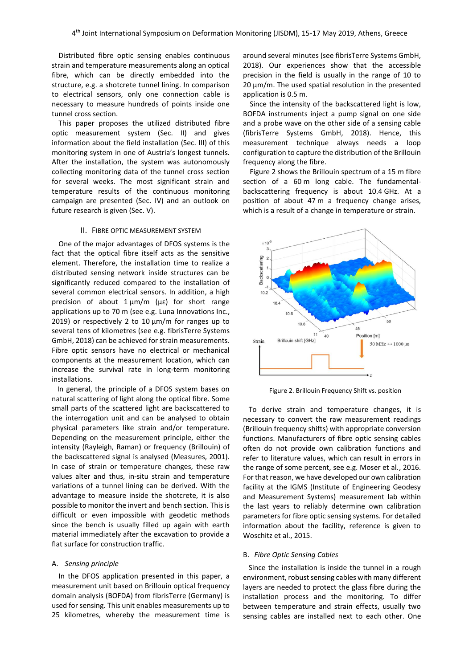Distributed fibre optic sensing enables continuous strain and temperature measurements along an optical fibre, which can be directly embedded into the structure, e.g. a shotcrete tunnel lining. In comparison to electrical sensors, only one connection cable is necessary to measure hundreds of points inside one tunnel cross section.

This paper proposes the utilized distributed fibre optic measurement system (Sec. [II\)](#page-1-0) and gives information about the field installation (Sec. [III\)](#page-2-0) of this monitoring system in one of Austria's longest tunnels. After the installation, the system was autonomously collecting monitoring data of the tunnel cross section for several weeks. The most significant strain and temperature results of the continuous monitoring campaign are presented (Sec. [IV\)](#page-4-0) and an outlook on future research is given (Sec. [V\)](#page-6-0).

#### II. FIBRE OPTIC MEASUREMENT SYSTEM

<span id="page-1-0"></span>One of the major advantages of DFOS systems is the fact that the optical fibre itself acts as the sensitive element. Therefore, the installation time to realize a distributed sensing network inside structures can be significantly reduced compared to the installation of several common electrical sensors. In addition, a high precision of about  $1 \mu m/m$  ( $\mu \varepsilon$ ) for short range applications up to 70 m (see e.g. Luna Innovations Inc., 2019) or respectively 2 to 10  $\mu$ m/m for ranges up to several tens of kilometres (see e.g. fibrisTerre Systems GmbH, 2018) can be achieved for strain measurements. Fibre optic sensors have no electrical or mechanical components at the measurement location, which can increase the survival rate in long-term monitoring installations.

In general, the principle of a DFOS system bases on natural scattering of light along the optical fibre. Some small parts of the scattered light are backscattered to the interrogation unit and can be analysed to obtain physical parameters like strain and/or temperature. Depending on the measurement principle, either the intensity (Rayleigh, Raman) or frequency (Brillouin) of the backscattered signal is analysed (Measures, 2001). In case of strain or temperature changes, these raw values alter and thus, in-situ strain and temperature variations of a tunnel lining can be derived. With the advantage to measure inside the shotcrete, it is also possible to monitor the invert and bench section. This is difficult or even impossible with geodetic methods since the bench is usually filled up again with earth material immediately after the excavation to provide a flat surface for construction traffic.

#### A. *Sensing principle*

In the DFOS application presented in this paper, a measurement unit based on Brillouin optical frequency domain analysis (BOFDA) from fibrisTerre (Germany) is used for sensing. This unit enables measurements up to 25 kilometres, whereby the measurement time is

around several minutes (see fibrisTerre Systems GmbH, 2018). Our experiences show that the accessible precision in the field is usually in the range of 10 to  $20 \mu m/m$ . The used spatial resolution in the presented application is 0.5 m.

Since the intensity of the backscattered light is low, BOFDA instruments inject a pump signal on one side and a probe wave on the other side of a sensing cable (fibrisTerre Systems GmbH, 2018). Hence, this measurement technique always needs a loop configuration to capture the distribution of the Brillouin frequency along the fibre.

[Figure 2](#page-1-1) shows the Brillouin spectrum of a 15 m fibre section of a 60 m long cable. The fundamentalbackscattering frequency is about 10.4 GHz. At a position of about 47 m a frequency change arises, which is a result of a change in temperature or strain.



Figure 2. Brillouin Frequency Shift vs. position

<span id="page-1-1"></span>To derive strain and temperature changes, it is necessary to convert the raw measurement readings (Brillouin frequency shifts) with appropriate conversion functions. Manufacturers of fibre optic sensing cables often do not provide own calibration functions and refer to literature values, which can result in errors in the range of some percent, see e.g. Moser et al., 2016. For that reason, we have developed our own calibration facility at the IGMS (Institute of Engineering Geodesy and Measurement Systems) measurement lab within the last years to reliably determine own calibration parameters for fibre optic sensing systems. For detailed information about the facility, reference is given to Woschitz et al., 2015.

#### B. *Fibre Optic Sensing Cables*

Since the installation is inside the tunnel in a rough environment, robust sensing cables with many different layers are needed to protect the glass fibre during the installation process and the monitoring. To differ between temperature and strain effects, usually two sensing cables are installed next to each other. One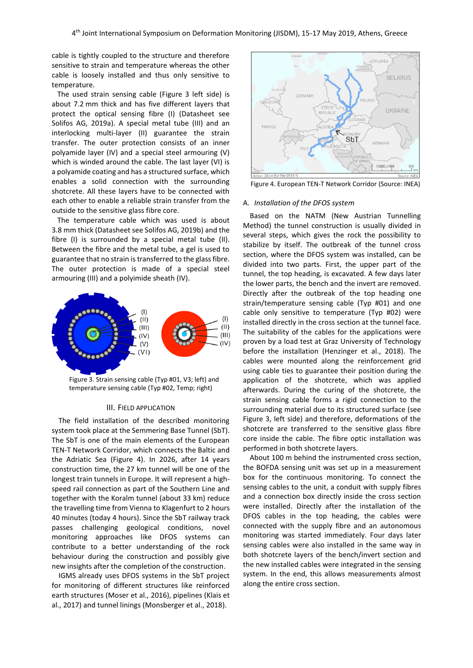cable is tightly coupled to the structure and therefore sensitive to strain and temperature whereas the other cable is loosely installed and thus only sensitive to temperature.

The used strain sensing cable [\(Figure 3](#page-2-1) left side) is about 7.2 mm thick and has five different layers that protect the optical sensing fibre (I) (Datasheet see Solifos AG, 2019a). A special metal tube (III) and an interlocking multi-layer (II) guarantee the strain transfer. The outer protection consists of an inner polyamide layer (IV) and a special steel armouring (V) which is winded around the cable. The last layer (VI) is a polyamide coating and has a structured surface, which enables a solid connection with the surrounding shotcrete. All these layers have to be connected with each other to enable a reliable strain transfer from the outside to the sensitive glass fibre core.

The temperature cable which was used is about 3.8 mm thick (Datasheet see Solifos AG, 2019b) and the fibre (I) is surrounded by a special metal tube (II). Between the fibre and the metal tube, a gel is used to guarantee that no strain is transferred to the glass fibre. The outer protection is made of a special steel armouring (III) and a polyimide sheath (IV).



<span id="page-2-1"></span>Figure 3. Strain sensing cable (Typ #01, V3; left) and temperature sensing cable (Typ #02, Temp; right)

## III. FIELD APPLICATION

<span id="page-2-0"></span>The field installation of the described monitoring system took place at the Semmering Base Tunnel (SbT). The SbT is one of the main elements of the European TEN-T Network Corridor, which connects the Baltic and the Adriatic Sea [\(Figure 4\)](#page-2-2). In 2026, after 14 years construction time, the 27 km tunnel will be one of the longest train tunnels in Europe. It will represent a highspeed rail connection as part of the Southern Line and together with the Koralm tunnel (about 33 km) reduce the travelling time from Vienna to Klagenfurt to 2 hours 40 minutes (today 4 hours). Since the SbT railway track passes challenging geological conditions, novel monitoring approaches like DFOS systems can contribute to a better understanding of the rock behaviour during the construction and possibly give new insights after the completion of the construction.

IGMS already uses DFOS systems in the SbT project for monitoring of different structures like reinforced earth structures (Moser et al., 2016), pipelines (Klais et al., 2017) and tunnel linings (Monsberger et al., 2018).



<span id="page-2-2"></span>Figure 4. European TEN-T Network Corridor (Source: INEA)

# A. *Installation of the DFOS system*

Based on the NATM (New Austrian Tunnelling Method) the tunnel construction is usually divided in several steps, which gives the rock the possibility to stabilize by itself. The outbreak of the tunnel cross section, where the DFOS system was installed, can be divided into two parts. First, the upper part of the tunnel, the top heading, is excavated. A few days later the lower parts, the bench and the invert are removed. Directly after the outbreak of the top heading one strain/temperature sensing cable (Typ #01) and one cable only sensitive to temperature (Typ #02) were installed directly in the cross section at the tunnel face. The suitability of the cables for the applications were proven by a load test at Graz University of Technology before the installation (Henzinger et al., 2018). The cables were mounted along the reinforcement grid using cable ties to guarantee their position during the application of the shotcrete, which was applied afterwards. During the curing of the shotcrete, the strain sensing cable forms a rigid connection to the surrounding material due to its structured surface (see [Figure 3,](#page-2-1) left side) and therefore, deformations of the shotcrete are transferred to the sensitive glass fibre core inside the cable. The fibre optic installation was performed in both shotcrete layers.

About 100 m behind the instrumented cross section, the BOFDA sensing unit was set up in a measurement box for the continuous monitoring. To connect the sensing cables to the unit, a conduit with supply fibres and a connection box directly inside the cross section were installed. Directly after the installation of the DFOS cables in the top heading, the cables were connected with the supply fibre and an autonomous monitoring was started immediately. Four days later sensing cables were also installed in the same way in both shotcrete layers of the bench/invert section and the new installed cables were integrated in the sensing system. In the end, this allows measurements almost along the entire cross section.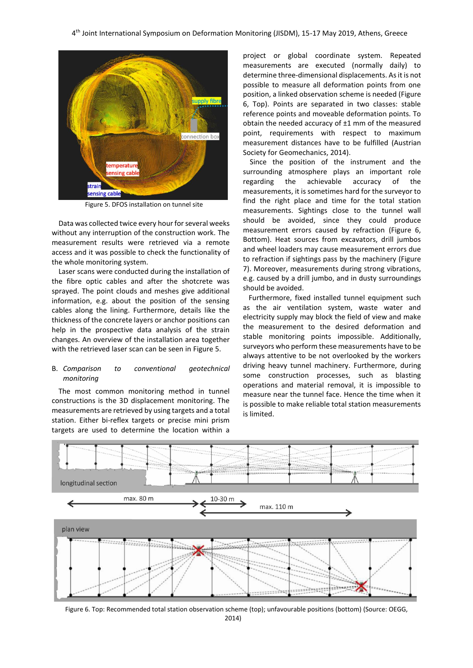

Figure 5. DFOS installation on tunnel site

<span id="page-3-0"></span>Data was collected twice every hour for several weeks without any interruption of the construction work. The measurement results were retrieved via a remote access and it was possible to check the functionality of the whole monitoring system.

Laser scans were conducted during the installation of the fibre optic cables and after the shotcrete was sprayed. The point clouds and meshes give additional information, e.g. about the position of the sensing cables along the lining. Furthermore, details like the thickness of the concrete layers or anchor positions can help in the prospective data analysis of the strain changes. An overview of the installation area together with the retrieved laser scan can be seen in [Figure 5.](#page-3-0)

# B. *Comparison to conventional geotechnical monitoring*

The most common monitoring method in tunnel constructions is the 3D displacement monitoring. The measurements are retrieved by using targets and a total station. Either bi-reflex targets or precise mini prism targets are used to determine the location within a

project or global coordinate system. Repeated measurements are executed (normally daily) to determine three-dimensional displacements. As it is not possible to measure all deformation points from one position, a linked observation scheme is needed [\(Figure](#page-3-1)  [6,](#page-3-1) Top). Points are separated in two classes: stable reference points and moveable deformation points. To obtain the needed accuracy of ±1 mm of the measured point, requirements with respect to maximum measurement distances have to be fulfilled (Austrian Society for Geomechanics, 2014).

Since the position of the instrument and the surrounding atmosphere plays an important role regarding the achievable accuracy of the measurements, it is sometimes hard for the surveyor to find the right place and time for the total station measurements. Sightings close to the tunnel wall should be avoided, since they could produce measurement errors caused by refraction [\(Figure 6,](#page-3-1) Bottom). Heat sources from excavators, drill jumbos and wheel loaders may cause measurement errors due to refraction if sightings pass by the machinery [\(Figure](#page-4-1)  [7\)](#page-4-1). Moreover, measurements during strong vibrations, e.g. caused by a drill jumbo, and in dusty surroundings should be avoided.

Furthermore, fixed installed tunnel equipment such as the air ventilation system, waste water and electricity supply may block the field of view and make the measurement to the desired deformation and stable monitoring points impossible. Additionally, surveyors who perform these measurements have to be always attentive to be not overlooked by the workers driving heavy tunnel machinery. Furthermore, during some construction processes, such as blasting operations and material removal, it is impossible to measure near the tunnel face. Hence the time when it is possible to make reliable total station measurements is limited.



<span id="page-3-1"></span>Figure 6. Top: Recommended total station observation scheme (top); unfavourable positions (bottom) (Source: OEGG, 2014)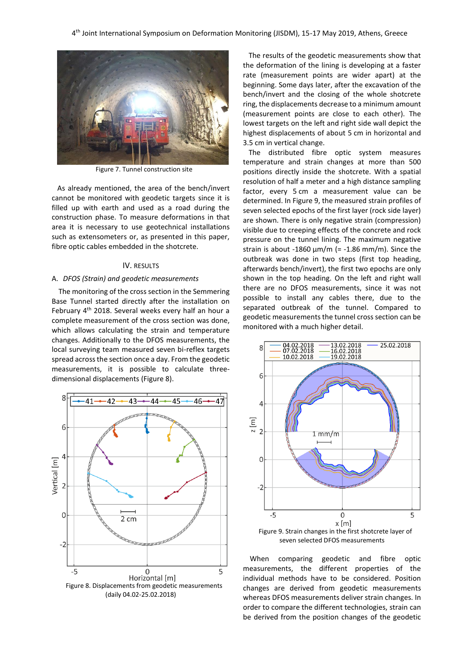

Figure 7. Tunnel construction site

<span id="page-4-1"></span>As already mentioned, the area of the bench/invert cannot be monitored with geodetic targets since it is filled up with earth and used as a road during the construction phase. To measure deformations in that area it is necessary to use geotechnical installations such as extensometers or, as presented in this paper, fibre optic cables embedded in the shotcrete.

# IV. RESULTS

## <span id="page-4-0"></span>A. *DFOS (Strain) and geodetic measurements*

The monitoring of the cross section in the Semmering Base Tunnel started directly after the installation on February 4<sup>th</sup> 2018. Several weeks every half an hour a complete measurement of the cross section was done, which allows calculating the strain and temperature changes. Additionally to the DFOS measurements, the local surveying team measured seven bi-reflex targets spread across the section once a day. From the geodetic measurements, it is possible to calculate threedimensional displacements [\(Figure 8\)](#page-4-2).



The results of the geodetic measurements show that the deformation of the lining is developing at a faster rate (measurement points are wider apart) at the beginning. Some days later, after the excavation of the bench/invert and the closing of the whole shotcrete ring, the displacements decrease to a minimum amount (measurement points are close to each other). The lowest targets on the left and right side wall depict the highest displacements of about 5 cm in horizontal and 3.5 cm in vertical change.

The distributed fibre optic system measures temperature and strain changes at more than 500 positions directly inside the shotcrete. With a spatial resolution of half a meter and a high distance sampling factor, every 5 cm a measurement value can be determined. I[n Figure 9,](#page-4-3) the measured strain profiles of seven selected epochs of the first layer (rock side layer) are shown. There is only negative strain (compression) visible due to creeping effects of the concrete and rock pressure on the tunnel lining. The maximum negative strain is about -1860  $\mu$ m/m (= -1.86 mm/m). Since the outbreak was done in two steps (first top heading, afterwards bench/invert), the first two epochs are only shown in the top heading. On the left and right wall there are no DFOS measurements, since it was not possible to install any cables there, due to the separated outbreak of the tunnel. Compared to geodetic measurements the tunnel cross section can be monitored with a much higher detail.



<span id="page-4-3"></span><span id="page-4-2"></span>When comparing geodetic and fibre optic measurements, the different properties of the individual methods have to be considered. Position changes are derived from geodetic measurements whereas DFOS measurements deliver strain changes. In order to compare the different technologies, strain can be derived from the position changes of the geodetic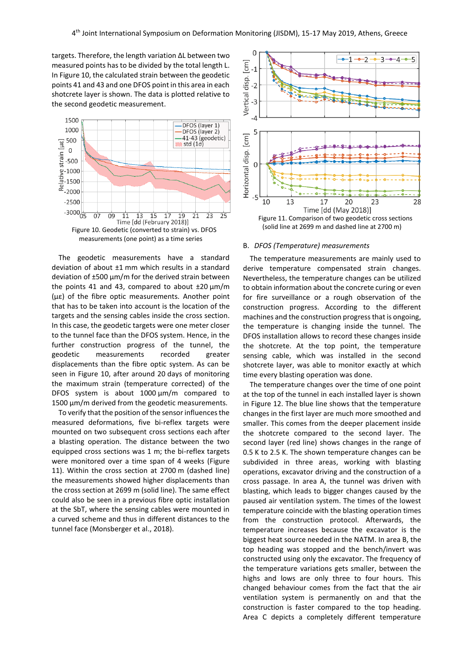targets. Therefore, the length variation ΔL between two measured points has to be divided by the total length L. In [Figure 10,](#page-5-0) the calculated strain between the geodetic points 41 and 43 and one DFOS point in this area in each shotcrete layer is shown. The data is plotted relative to the second geodetic measurement.



<span id="page-5-0"></span>The geodetic measurements have a standard deviation of about ±1 mm which results in a standard deviation of ±500 µm/m for the derived strain between the points 41 and 43, compared to about  $\pm 20 \mu m/m$ (µε) of the fibre optic measurements. Another point that has to be taken into account is the location of the targets and the sensing cables inside the cross section. In this case, the geodetic targets were one meter closer to the tunnel face than the DFOS system. Hence, in the further construction progress of the tunnel, the geodetic measurements recorded greater displacements than the fibre optic system. As can be seen in Figure 10, after around 20 days of monitoring the maximum strain (temperature corrected) of the DFOS system is about 1000  $\mu$ m/m compared to 1500  $\mu$ m/m derived from the geodetic measurements.

To verify that the position of the sensor influences the measured deformations, five bi-reflex targets were mounted on two subsequent cross sections each after a blasting operation. The distance between the two equipped cross sections was 1 m; the bi-reflex targets were monitored over a time span of 4 weeks [\(Figure](#page-5-1)  [11\)](#page-5-1). Within the cross section at 2700 m (dashed line) the measurements showed higher displacements than the cross section at 2699 m (solid line). The same effect could also be seen in a previous fibre optic installation at the SbT, where the sensing cables were mounted in a curved scheme and thus in different distances to the tunnel face (Monsberger et al., 2018).



#### <span id="page-5-1"></span>B. *DFOS (Temperature) measurements*

The temperature measurements are mainly used to derive temperature compensated strain changes. Nevertheless, the temperature changes can be utilized to obtain information about the concrete curing or even for fire surveillance or a rough observation of the construction progress. According to the different machines and the construction progressthat is ongoing, the temperature is changing inside the tunnel. The DFOS installation allows to record these changes inside the shotcrete. At the top point, the temperature sensing cable, which was installed in the second shotcrete layer, was able to monitor exactly at which time every blasting operation was done.

The temperature changes over the time of one point at the top of the tunnel in each installed layer is shown in [Figure 12.](#page-6-1) The blue line shows that the temperature changes in the first layer are much more smoothed and smaller. This comes from the deeper placement inside the shotcrete compared to the second layer. The second layer (red line) shows changes in the range of 0.5 K to 2.5 K. The shown temperature changes can be subdivided in three areas, working with blasting operations, excavator driving and the construction of a cross passage. In area A, the tunnel was driven with blasting, which leads to bigger changes caused by the paused air ventilation system. The times of the lowest temperature coincide with the blasting operation times from the construction protocol. Afterwards, the temperature increases because the excavator is the biggest heat source needed in the NATM. In area B, the top heading was stopped and the bench/invert was constructed using only the excavator. The frequency of the temperature variations gets smaller, between the highs and lows are only three to four hours. This changed behaviour comes from the fact that the air ventilation system is permanently on and that the construction is faster compared to the top heading. Area C depicts a completely different temperature